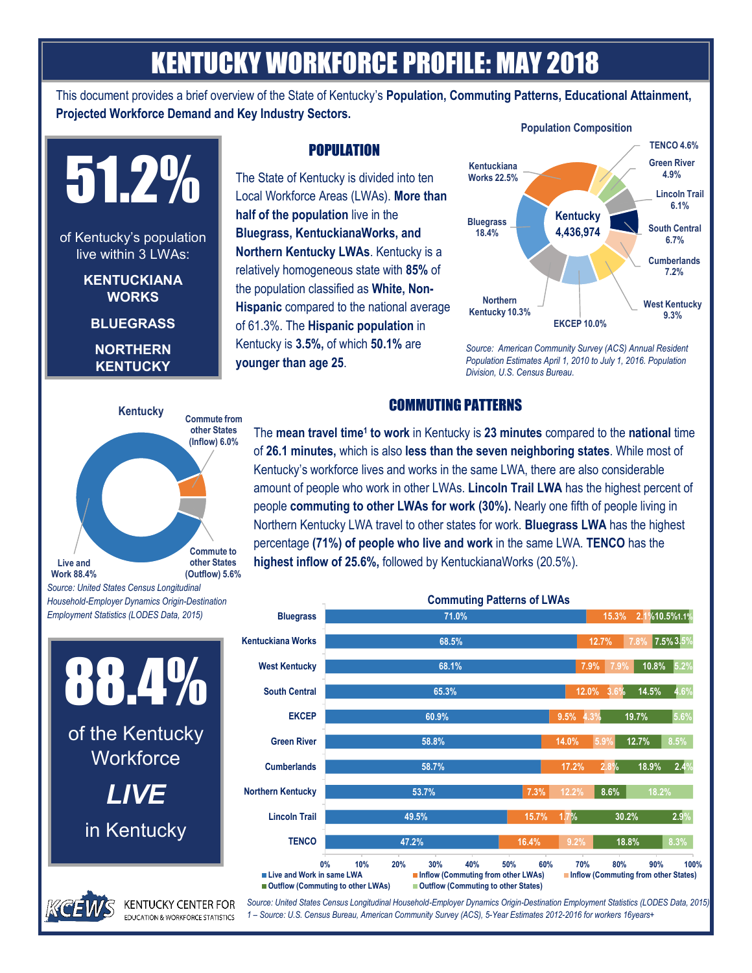# KENTUCKY WORKFORCE PROFILE: MAY 2018

This document provides a brief overview of the State of Kentucky's **Population, Commuting Patterns, Educational Attainment, Projected Workforce Demand and Key Industry Sectors.**



## **Live and Work 88.4% Commute from other States (Inflow) 6.0% Commute to other States (Outflow) 5.6% Kentucky**

# **POPULATION**

The State of Kentucky is divided into ten Local Workforce Areas (LWAs). **More than half of the population** live in the **Bluegrass, KentuckianaWorks, and Northern Kentucky LWAs**. Kentucky is a relatively homogeneous state with **85%** of the population classified as **White, Non-Hispanic** compared to the national average of 61.3%. The **Hispanic population** in Kentucky is **3.5%,** of which **50.1%** are **younger than age 25**.



*Source: American Community Survey (ACS) Annual Resident Population Estimates April 1, 2010 to July 1, 2016. Population Division, U.S. Census Bureau.*

## COMMUTING PATTERNS

The **mean travel time<sup>1</sup> to work** in Kentucky is **23 minutes** compared to the **national** time of **26.1 minutes,** which is also **less than the seven neighboring states**. While most of Kentucky's workforce lives and works in the same LWA, there are also considerable amount of people who work in other LWAs. **Lincoln Trail LWA** has the highest percent of people **commuting to other LWAs for work (30%).** Nearly one fifth of people living in Northern Kentucky LWA travel to other states for work. **Bluegrass LWA** has the highest percentage **(71%) of people who live and work** in the same LWA. **TENCO** has the **highest inflow of 25.6%,** followed by KentuckianaWorks (20.5%).



*Source: United States Census Longitudinal Household-Employer Dynamics Origin-Destination Employment Statistics (LODES Data, 2015) 1 – Source: U.S. Census Bureau, American Community Survey (ACS), 5-Year Estimates 2012-2016 for workers 16years+*

*Source: United States Census Longitudinal Household-Employer Dynamics Origin-Destination Employment Statistics (LODES Data, 2015)*

88.4% of the Kentucky **Workforce** *LIVE*  in Kentucky

**KENTUCKY CENTER FOR EDUCATION & WORKFORCE STATISTICS**